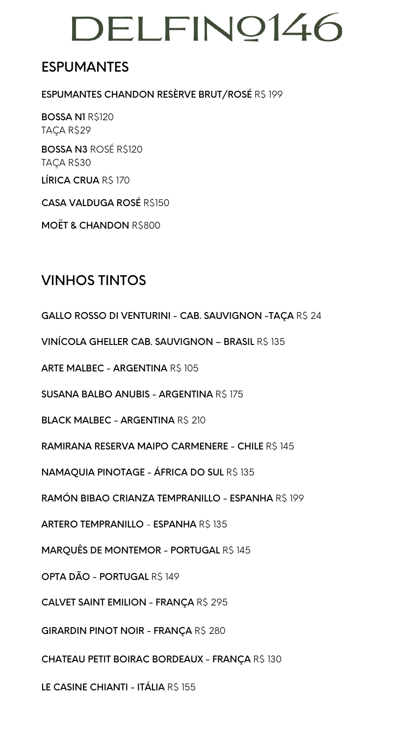### ESPUMANTES

ESPUMANTES CHANDON RESÈRVE BRUT/ROSÉ R\$ 199

BOSSA N1 R\$120 TAÇA R\$29

BOSSA N3 ROSÉ R\$120 TAÇA R\$30

LÍRICA CRUA R\$ 170

CASA VALDUGA ROSÉ R\$150

MOËT & CHANDON R\$800

### VINHOS TINTOS

GALLO ROSSO DI VENTURINI - CAB. SAUVIGNON -TAÇA R\$ 24

VINÍCOLA GHELLER CAB. SAUVIGNON – BRASIL R\$ 135

ARTE MALBEC - ARGENTINA R\$ 105

SUSANA BALBO ANUBIS - ARGENTINA R\$ 175

BLACK MALBEC - ARGENTINA R\$ 210

RAMIRANA RESERVA MAIPO CARMENERE - CHILE R\$ 145

**NAMAQUIA PINOTAGE - ÁFRICA DO SUL R\$ 135** 

RAMÓN BIBAO CRIANZA TEMPRANILLO - ESPANHA R\$ 199

ARTERO TEMPRANILLO - ESPANHA R\$ 135

**MARQUÊS DE MONTEMOR - PORTUGAL R\$ 145** 

OPTA DÃO - PORTUGAL R\$ 149

CALVET SAINT EMILION - FRANÇA R\$ 295

GIRARDIN PINOT NOIR - FRANÇA R\$ 280

CHATEAU PETIT BOIRAC BORDEAUX - FRANÇA R\$ 130

LE CASINE CHIANTI - ITÁLIA R\$ 155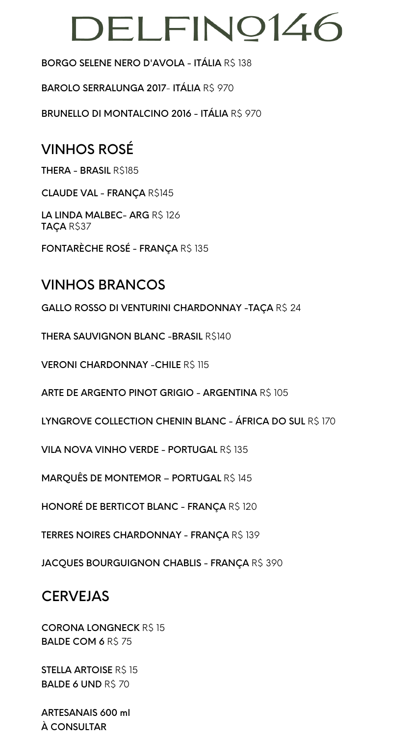#### BORGO SELENE NERO D'AVOLA - ITÁLIA RS 138

BAROLO SERRALUNGA 2017- ITÁLIA R\$ 970

BRUNELLO DI MONTALCINO 2016 - ITÁLIA R\$ 970

## VINHOS ROSÉ

THERA - BRASIL R\$185

CLAUDE VAL - FRANÇA R\$145

LA LINDA MALBEC- ARG R\$ 126 TAÇA R\$37

FONTARÈCHE ROSÉ - FRANÇA R\$ 135

### VINHOS BRANCOS

GALLO ROSSO DI VENTURINI CHARDONNAY -TAÇA R\$ 24

**THERA SAUVIGNON BLANC - BRASIL R\$140** 

VERONI CHARDONNAY - CHILE R\$ 115

ARTE DE ARGENTO PINOT GRIGIO - ARGENTINA R\$ 105

LYNGROVE COLLECTION CHENIN BLANC - ÁFRICA DO SUL R\$ 170

**VILA NOVA VINHO VERDE - PORTUGAL R\$ 135** 

**MARQUÊS DE MONTEMOR - PORTUGAL R\$ 145** 

HONORÉ DE BERTICOT BLANC - FRANÇA R\$ 120

TERRES NOIRES CHARDONNAY - FRANÇA R\$ 139

JACQUES BOURGUIGNON CHABLIS - FRANÇA R\$ 390

### **CERVEJAS**

**CORONA LONGNECK R\$ 15** BALDE COM 6 R\$ 75

**STELLA ARTOISE R\$ 15** BALDE 6 UND R\$ 70

ARTESANAIS 600 ml À CONSULTAR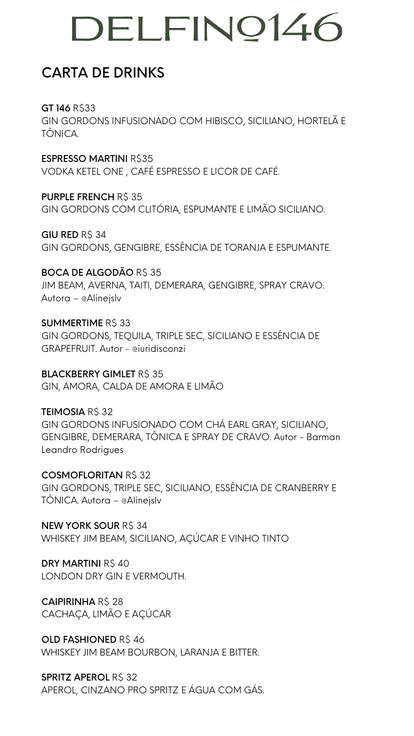## CARTA DE DRINKS

**GT 146 RS33** GIN GORDONS INFUSIONADO COM HIBISCO, SICILIANO, HORTELÃ E TÔNICA.

**ESPRESSO MARTINI R\$35** VODKA KETEL ONE , CAFÉ ESPRESSO E LICOR DE CAFÉ.

PURPLE FRENCH R\$ 35 GIN GORDONS COM CLITÓRIA, ESPUMANTE E LIMÃO SICILIANO.

GIU RED RS 34 GIN GORDONS, GENGIBRE, ESSÊNCIA DE TORANJA E ESPUMANTE.

**SUMMERTIME RS 33** GIN GORDONS, TEQUILA, TRIPLE SEC, SICILIANO E ESSÊNCIA DE GRAPEFRUIT. Autor - @iuridisconzi

**BLACKBERRY GIMLET RS 35** GIN, AMORA, CALDA DE AMORA E LIMÃO

BOCA DE ALGODÃO R\$ 35 JIM BEAM, AVERNA, TAITI, DEMERARA, GENGIBRE, SPRAY CRAVO. Autora – @Alinejslv

TEIMOSIA R\$ 32 GIN GORDONS INFUSIONADO COM CHÁ EARL GRAY, SICILIANO, GENGIBRE, DEMERARA, TÔNICA E SPRAY DE CRAVO. Autor - Barman Leandro Rodrigues

NEW YORK SOUR R\$ 34 WHISKEY JIM BEAM, SICILIANO, AÇÚCAR E VINHO TINTO

DRY MARTINI R\$40 LONDON DRY GIN E VERMOUTH.

CAIPIRINHA R\$ 28 CACHAÇA, LIMÃO E AÇÚCAR

OLD FASHIONED R\$46 WHISKEY JIM BEAM BOURBON, LARANJA E BITTER.

SPRITZ APEROL R\$ 32 APEROL, CINZANO PRO SPRITZ E ÁGUA COM GÁS.

COSMOFLORITAN R\$ 32 GIN GORDONS, TRIPLE SEC, SICILIANO, ESSÊNCIA DE CRANBERRY E TÔNICA. Autora – @Alinejslv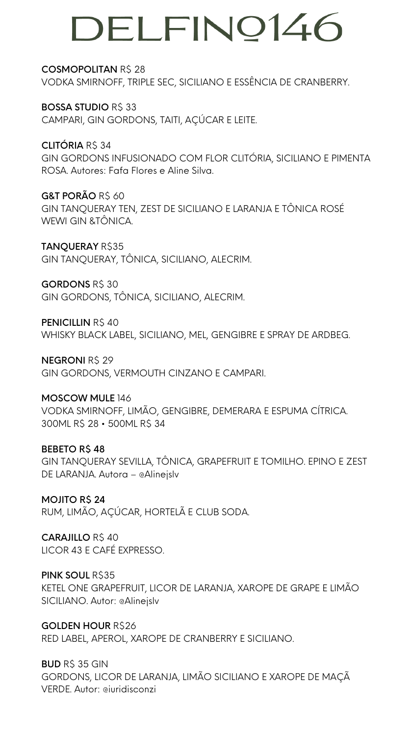#### COSMOPOLITAN R\$ 28

VODKA SMIRNOFF, TRIPLE SEC, SICILIANO E ESSÊNCIA DE CRANBERRY.

#### **BOSSA STUDIO R\$ 33**

CAMPARI, GIN GORDONS, TAITI, AÇÚCAR E LEITE.

CLITÓRIA R\$ 34 GIN GORDONS INFUSIONADO COM FLOR CLITÓRIA, SICILIANO E PIMENTA ROSA. Autores: Fafa Flores e Aline Silva.

#### G&T PORÃO R\$ 60 GIN TANQUERAY TEN, ZEST DE SICILIANO E LARANJA E TÔNICA ROSÉ WEWI GIN &TÔNICA.

TANQUERAY R\$35 GIN TANQUERAY, TÔNICA, SICILIANO, ALECRIM.

#### GORDONS RS 30

GIN GORDONS, TÔNICA, SICILIANO, ALECRIM.

#### PENICILLIN R\$40

CARAJILLO R\$40 LICOR 43 E CAFÉ EXPRESSO.

PINK SOUL R\$35 KETEL ONE GRAPEFRUIT, LICOR DE LARANJA, XAROPE DE GRAPE E LIMÃO SICILIANO. Autor: @Alinejslv

WHISKY BLACK LABEL, SICILIANO, MEL, GENGIBRE E SPRAY DE ARDBEG.

#### **NEGRONI R\$ 29**

GIN GORDONS, VERMOUTH CINZANO E CAMPARI.

**BUD R\$ 35 GIN** GORDONS, LICOR DE LARANJA, LIMÃO SICILIANO E XAROPE DE MAÇÃ VERDE. Autor: @iuridisconzi

#### MOSCOW MULE 146

VODKA SMIRNOFF, LIMÃO, GENGIBRE, DEMERARA E ESPUMA CÍTRICA. 300ML R\$ 28 • 500ML R\$ 34

#### BEBETO R\$ 48

GIN TANQUERAY SEVILLA, TÔNICA, GRAPEFRUIT E TOMILHO. EPINO E ZEST DE LARANJA. Autora – @Alinejslv

MOJITO R\$ 24 RUM, LIMÃO, AÇÚCAR, HORTELÃ E CLUB SODA.

GOLDEN HOUR R\$26 RED LABEL, APEROL, XAROPE DE CRANBERRY E SICILIANO.